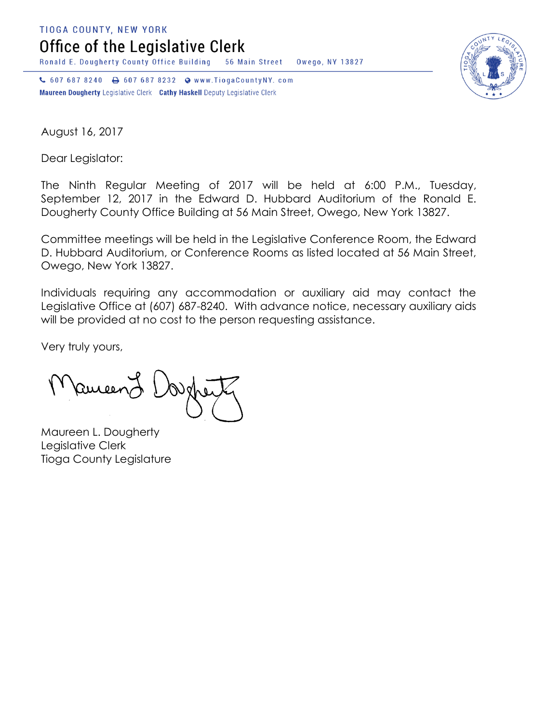**TIOGA COUNTY, NEW YORK** 

Office of the Legislative Clerk

Ronald E. Dougherty County Office Building 56 Main Street Owego, NY 13827

↓ 607 687 8240 → 607 687 8232 → www.TiogaCountyNY.com Maureen Dougherty Legislative Clerk Cathy Haskell Deputy Legislative Clerk



August 16, 2017

Dear Legislator:

The Ninth Regular Meeting of 2017 will be held at 6:00 P.M., Tuesday, September 12, 2017 in the Edward D. Hubbard Auditorium of the Ronald E. Dougherty County Office Building at 56 Main Street, Owego, New York 13827.

Committee meetings will be held in the Legislative Conference Room, the Edward D. Hubbard Auditorium, or Conference Rooms as listed located at 56 Main Street, Owego, New York 13827.

Individuals requiring any accommodation or auxiliary aid may contact the Legislative Office at (607) 687-8240. With advance notice, necessary auxiliary aids will be provided at no cost to the person requesting assistance.

Very truly yours,

Remeend

Maureen L. Dougherty Legislative Clerk Tioga County Legislature